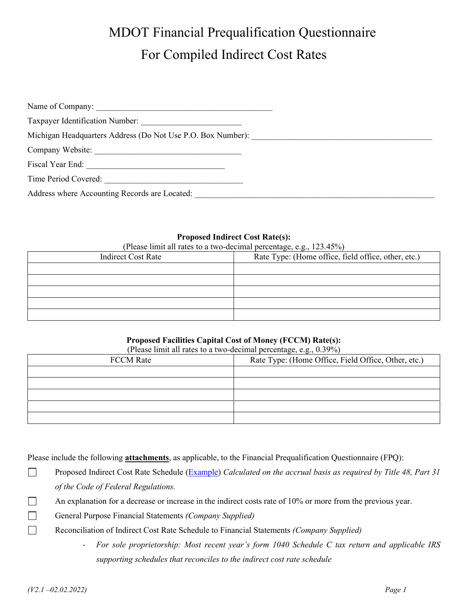| Taxpayer Identification Number:                             |
|-------------------------------------------------------------|
| Michigan Headquarters Address (Do Not Use P.O. Box Number): |
|                                                             |
| Fiscal Year End:                                            |
| Time Period Covered:                                        |
| Address where Accounting Records are Located:               |

#### **Proposed Indirect Cost Rate(s):**

(Please limit all rates to a two-decimal percentage, e.g., 123.45%)

| <b>Indirect Cost Rate</b> | Rate Type: (Home office, field office, other, etc.) |
|---------------------------|-----------------------------------------------------|
|                           |                                                     |
|                           |                                                     |
|                           |                                                     |
|                           |                                                     |
|                           |                                                     |

# **Proposed Facilities Capital Cost of Money (FCCM) Rate(s):**

|                  | (Please limit all rates to a two-decimal percentage, e.g., 0.39%) |  |
|------------------|-------------------------------------------------------------------|--|
| <b>FCCM</b> Rate | Rate Type: (Home Office, Field Office, Other, etc.)               |  |
|                  |                                                                   |  |
|                  |                                                                   |  |
|                  |                                                                   |  |
|                  |                                                                   |  |
|                  |                                                                   |  |

Please include the following **attachments**, as applicable, to the Financial Prequalification Questionnaire (FPQ):

- $\Box$ Proposed Indirect Cost Rate Schedule [\(Example\)](http://www.michigan.gov/documents/mdot/Example_-_AASHTO_GUIDE_Chapter_5_-_Indirect_Cost_Rate_Schedule_443555_7.xlsx) *Calculated on the accrual basis as required by Title 48, Part 31 of the Code of Federal Regulations.*
- $\Box$ An explanation for a decrease or increase in the indirect costs rate of 10% or more from the previous year.
- $\Box$ General Purpose Financial Statements *(Company Supplied)*
- $\Box$ Reconciliation of Indirect Cost Rate Schedule to Financial Statements *(Company Supplied)* 
	- *For sole proprietorship: Most recent year's form 1040 Schedule C tax return and applicable IRS supporting schedules that reconciles to the indirect cost rate schedule*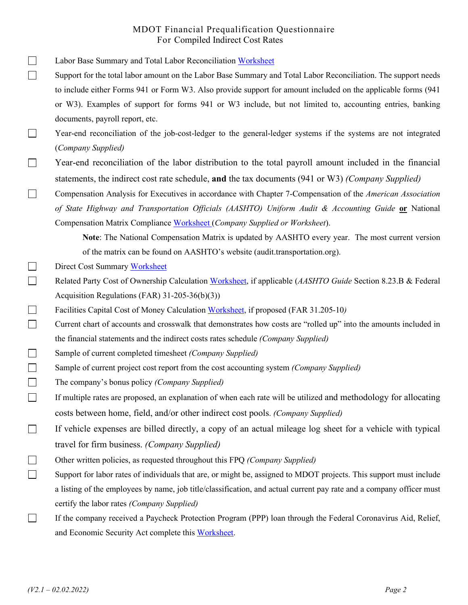- Labor Base Summary and Total Labor Reconciliation [Worksheet](http://www.michigan.gov/documents/mdot/Template_-_Labor_Base_Summarry_and_Total_labor_Reconciliation_443558_7.xls)
- Support for the total labor amount on the Labor Base Summary and Total Labor Reconciliation. The support needs to include either Forms 941 or Form W3. Also provide support for amount included on the applicable forms (941 or W3). Examples of support for forms 941 or W3 include, but not limited to, accounting entries, banking documents, payroll report, etc.
- Year-end reconciliation of the job-cost-ledger to the general-ledger systems if the systems are not integrated (*Company Supplied)*
- Year-end reconciliation of the labor distribution to the total payroll amount included in the financial statements, the indirect cost rate schedule, **and** the tax documents (941 or W3) *(Company Supplied)*
- Compensation Analysis for Executives in accordance with Chapter 7-Compensation of the *American Association*  П *of State Highway and Transportation Officials (AASHTO) Uniform Audit & Accounting Guide* **or** National Compensation Matrix Compliance [Worksheet \(](http://www.michigan.gov/documents/mdot/Template_-_NCM_Compliance_Worksheet_443560_7.xlsm)*Company Supplied or Worksheet*).
	- **Note**: The National Compensation Matrix is updated by AASHTO every year. The most current version of the matrix can be found on AASHTO's website (audit.transportation.org).
- $\Box$ Direct Cost Summar[y Worksheet](http://www.michigan.gov/documents/mdot/Direct_Cost_Summary_443553_7.docx)
- $\Box$ Related Party Cost of Ownership Calculation [Worksheet,](http://www.michigan.gov/documents/mdot/Template_-_Related_Party_Cost_of_Ownership_Calculation_443561_7.xlsx) if applicable (*AASHTO Guide* Section 8.23.B & Federal Acquisition Regulations (FAR) 31-205-36(b)(3))
- $\Box$ Facilities Capital Cost of Money Calculation [Worksheet,](http://www.michigan.gov/documents/mdot/Template_-_Facilities_Capital_Cost_of_Money_Calculation_443557_7.xlsx) if proposed (FAR 31.205-10*)*
- $\Box$ Current chart of accounts and crosswalk that demonstrates how costs are "rolled up" into the amounts included in the financial statements and the indirect costs rates schedule *(Company Supplied)*
- $\Box$ Sample of current completed timesheet *(Company Supplied)*
- $\Box$ Sample of current project cost report from the cost accounting system *(Company Supplied)*
- $\Box$ The company's bonus policy *(Company Supplied)*
- $\Box$ If multiple rates are proposed, an explanation of when each rate will be utilized and methodology for allocating costs between home, field, and/or other indirect cost pools. *(Company Supplied)*
- $\Box$ If vehicle expenses are billed directly, a copy of an actual mileage log sheet for a vehicle with typical travel for firm business. *(Company Supplied)*
- $\Box$ Other written policies, as requested throughout this FPQ *(Company Supplied)*
- $\Box$ Support for labor rates of individuals that are, or might be, assigned to MDOT projects. This support must include a listing of the employees by name, job title/classification, and actual current pay rate and a company officer must certify the labor rates *(Company Supplied)*
- $\Box$ If the company received a Paycheck Protection Program (PPP) loan through the Federal Coronavirus Aid, Relief, and Economic Security Act complete thi[s Worksheet.](https://www.michigan.gov/documents/mdot/Paycheck_Protection_Program_Loan_Worksheet_716890_7.pdf)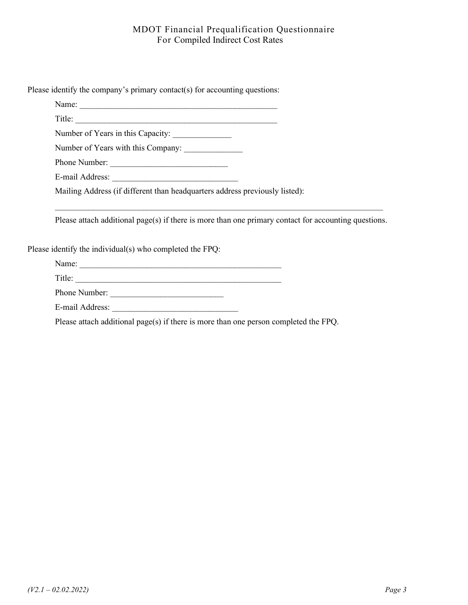Please identify the company's primary contact(s) for accounting questions:

Name: Title:

Number of Years in this Capacity:

Number of Years with this Company: \_\_\_\_\_\_\_\_\_\_\_\_\_\_

Phone Number: \_\_\_\_\_\_\_\_\_\_\_\_\_\_\_\_\_\_\_\_\_\_\_\_\_\_\_\_

E-mail Address:

Mailing Address (if different than headquarters address previously listed):

Please attach additional page(s) if there is more than one primary contact for accounting questions.

 $\mathcal{L}_\mathcal{L} = \{ \mathcal{L}_\mathcal{L} = \{ \mathcal{L}_\mathcal{L} = \{ \mathcal{L}_\mathcal{L} = \{ \mathcal{L}_\mathcal{L} = \{ \mathcal{L}_\mathcal{L} = \{ \mathcal{L}_\mathcal{L} = \{ \mathcal{L}_\mathcal{L} = \{ \mathcal{L}_\mathcal{L} = \{ \mathcal{L}_\mathcal{L} = \{ \mathcal{L}_\mathcal{L} = \{ \mathcal{L}_\mathcal{L} = \{ \mathcal{L}_\mathcal{L} = \{ \mathcal{L}_\mathcal{L} = \{ \mathcal{L}_\mathcal{$ 

Please identify the individual(s) who completed the FPQ:

Name: \_\_\_\_\_\_\_\_\_\_\_\_\_\_\_\_\_\_\_\_\_\_\_\_\_\_\_\_\_\_\_\_\_\_\_\_\_\_\_\_\_\_\_\_\_\_\_\_

Title: \_\_\_\_\_\_\_\_\_\_\_\_\_\_\_\_\_\_\_\_\_\_\_\_\_\_\_\_\_\_\_\_\_\_\_\_\_\_\_\_\_\_\_\_\_\_\_\_\_

Phone Number: \_\_\_\_\_\_\_\_\_\_\_\_\_\_\_\_\_\_\_\_\_\_\_\_\_\_\_

E-mail Address:

Please attach additional page(s) if there is more than one person completed the FPQ.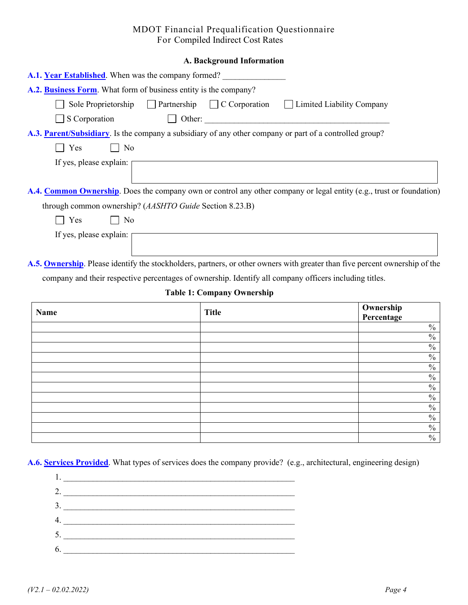|  | A. Background Information |
|--|---------------------------|
|  |                           |

| A.1. Year Established. When was the company formed?                                                                         |
|-----------------------------------------------------------------------------------------------------------------------------|
| A.2. Business Form. What form of business entity is the company?                                                            |
| Sole Proprietorship Partnership C Corporation<br>Limited Liability Company                                                  |
| $\Box$ Other:<br>S Corporation                                                                                              |
| A.3. Parent/Subsidiary. Is the company a subsidiary of any other company or part of a controlled group?                     |
| Yes<br>No                                                                                                                   |
| If yes, please explain:                                                                                                     |
| A.4. Common Ownership. Does the company own or control any other company or legal entity (e.g., trust or foundation)        |
| through common ownership? ( <i>AASHTO Guide</i> Section 8.23.B)                                                             |
| Yes<br>N <sub>o</sub>                                                                                                       |
| If yes, please explain:                                                                                                     |
| A.5. Ownership. Please identify the stockholders, partners, or other owners with greater than five percent ownership of the |

company and their respective percentages of ownership. Identify all company officers including titles.

#### **Table 1: Company Ownership**

| Name | <b>Title</b> | <b>Ownership</b><br><b>Percentage</b> |
|------|--------------|---------------------------------------|
|      |              | $\%$                                  |
|      |              | $\frac{0}{0}$                         |
|      |              | $\%$                                  |
|      |              | $\%$                                  |
|      |              | $\frac{0}{0}$                         |
|      |              | $\frac{0}{0}$                         |
|      |              | $\%$                                  |
|      |              | $\frac{0}{0}$                         |
|      |              | $\frac{0}{0}$                         |
|      |              | $\%$                                  |
|      |              | $\frac{0}{0}$                         |
|      |              | $\frac{0}{0}$                         |

**A.6. Services Provided**. What types of services does the company provide? (e.g., architectural, engineering design)

| 2. |  |  |  |
|----|--|--|--|
| 3. |  |  |  |
| 4. |  |  |  |
| 5. |  |  |  |
| 6. |  |  |  |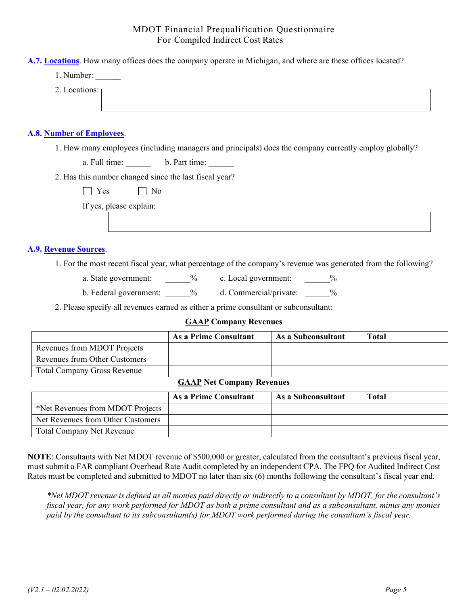| A.7. Locations. How many offices does the company operate in Michigan, and where are these offices located? |
|-------------------------------------------------------------------------------------------------------------|
| 1. Number:                                                                                                  |
| 2. Locations: $\boxed{\phantom{1}}$                                                                         |
| <b>A.8. Number of Employees.</b>                                                                            |
| 1. How many employees (including managers and principals) does the company currently employ globally?       |
| a. Full time: b. Part time:                                                                                 |
| 2. Has this number changed since the last fiscal year?                                                      |
| Yes     No                                                                                                  |
| If yes, please explain:                                                                                     |
|                                                                                                             |

#### **A.9. Revenue Sources**.

- 1. For the most recent fiscal year, what percentage of the company's revenue was generated from the following?
	- a. State government: \_\_\_\_\_\_\_% c. Local government:  $\frac{9}{6}$
	- b. Federal government:  $\%$  d. Commercial/private:  $\%$

2. Please specify all revenues earned as either a prime consultant or subconsultant:

#### **GAAP Company Revenues**

|                                    | As a Prime Consultant                            | As a Subconsultant | Total |
|------------------------------------|--------------------------------------------------|--------------------|-------|
| Revenues from MDOT Projects        |                                                  |                    |       |
| Revenues from Other Customers      |                                                  |                    |       |
| <b>Total Company Gross Revenue</b> |                                                  |                    |       |
|                                    | $\alpha$ , $\alpha$ , $\alpha$<br>$\blacksquare$ |                    |       |

#### **GAAP Net Company Revenues**

|                                   | As a Prime Consultant | As a Subconsultant | <b>Total</b> |
|-----------------------------------|-----------------------|--------------------|--------------|
| *Net Revenues from MDOT Projects  |                       |                    |              |
| Net Revenues from Other Customers |                       |                    |              |
| <b>Total Company Net Revenue</b>  |                       |                    |              |

**NOTE**: Consultants with Net MDOT revenue of \$500,000 or greater, calculated from the consultant's previous fiscal year, must submit a FAR compliant Overhead Rate Audit completed by an independent CPA. The FPQ for Audited Indirect Cost Rates must be completed and submitted to MDOT no later than six (6) months following the consultant's fiscal year end.

*\*Net MDOT revenue is defined as all monies paid directly or indirectly to a consultant by MDOT, for the consultant's fiscal year, for any work performed for MDOT as both a prime consultant and as a subconsultant, minus any monies paid by the consultant to its subconsultant(s) for MDOT work performed during the consultant's fiscal year.*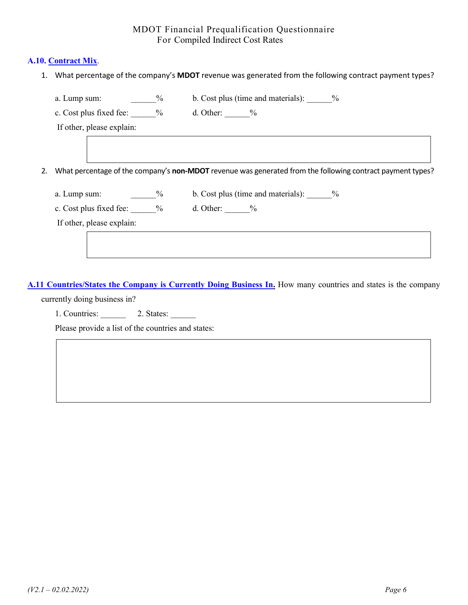#### **A.10. Contract Mix**.

1. What percentage of the company's **MDOT** revenue was generated from the following contract payment types?

| a. Lump sum:                 | $\frac{0}{0}$ | b. Cost plus (time and materials): $\frac{9}{6}$                                                           |  |
|------------------------------|---------------|------------------------------------------------------------------------------------------------------------|--|
| c. Cost plus fixed fee: $\%$ |               | d. Other: $\frac{9}{6}$                                                                                    |  |
| If other, please explain:    |               |                                                                                                            |  |
|                              |               |                                                                                                            |  |
|                              |               |                                                                                                            |  |
|                              |               | What percentage of the company's non-MDOT revenue was generated from the following contract payment types? |  |
|                              |               |                                                                                                            |  |
| a. Lump sum:                 | $\%$          | b. Cost plus (time and materials): $\frac{9}{6}$                                                           |  |
| c. Cost plus fixed fee: $\%$ |               | d. Other: $\frac{9}{6}$                                                                                    |  |
|                              |               |                                                                                                            |  |
| If other, please explain:    |               |                                                                                                            |  |

**A.11 Countries/States the Company is Currently Doing Business In.** How many countries and states is the company

currently doing business in?

1. Countries: \_\_\_\_\_\_\_\_\_ 2. States: \_\_\_\_\_\_

Please provide a list of the countries and states: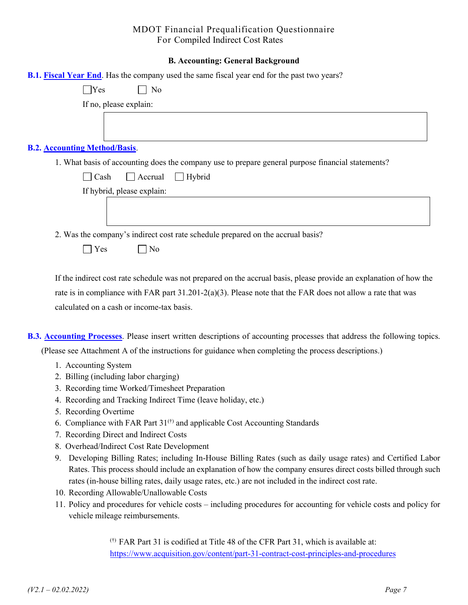#### **B. Accounting: General Background**

| <b>B.1. Fiscal Year End.</b> Has the company used the same fiscal year end for the past two years? |
|----------------------------------------------------------------------------------------------------|
| $\bigcap$ Yes<br>No                                                                                |
| If no, please explain:                                                                             |
|                                                                                                    |
| <b>B.2. Accounting Method/Basis.</b>                                                               |
| 1. What basis of accounting does the company use to prepare general purpose financial statements?  |
| $\Box$ Hybrid<br>$\vert$ Accrual<br>Cash                                                           |
| If hybrid, please explain:                                                                         |
|                                                                                                    |
| 2. Was the company's indirect cost rate schedule prepared on the accrual basis?                    |
| Yes<br>No                                                                                          |

If the indirect cost rate schedule was not prepared on the accrual basis, please provide an explanation of how the rate is in compliance with FAR part  $31.201-2(a)(3)$ . Please note that the FAR does not allow a rate that was calculated on a cash or income-tax basis.

- **B.3. Accounting Processes**. Please insert written descriptions of accounting processes that address the following topics. (Please see Attachment A of the instructions for guidance when completing the process descriptions.)
	- 1. Accounting System
	- 2. Billing (including labor charging)
	- 3. Recording time Worked/Timesheet Preparation
	- 4. Recording and Tracking Indirect Time (leave holiday, etc.)
	- 5. Recording Overtime
	- 6. Compliance with FAR Part  $31^{(†)}$  and applicable Cost Accounting Standards
	- 7. Recording Direct and Indirect Costs
	- 8. Overhead/Indirect Cost Rate Development
	- 9. Developing Billing Rates; including In-House Billing Rates (such as daily usage rates) and Certified Labor Rates. This process should include an explanation of how the company ensures direct costs billed through such rates (in-house billing rates, daily usage rates, etc.) are not included in the indirect cost rate.
	- 10. Recording Allowable/Unallowable Costs
	- 11. Policy and procedures for vehicle costs including procedures for accounting for vehicle costs and policy for vehicle mileage reimbursements.

(†) FAR Part 31 is codified at Title 48 of the CFR Part 31, which is available at: <https://www.acquisition.gov/content/part-31-contract-cost-principles-and-procedures>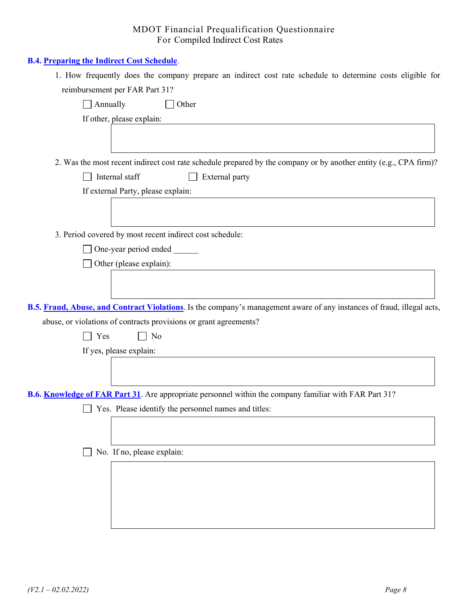#### **B.4. Preparing the Indirect Cost Schedule**.

| 1. How frequently does the company prepare an indirect cost rate schedule to determine costs eligible for              |
|------------------------------------------------------------------------------------------------------------------------|
| reimbursement per FAR Part 31?                                                                                         |
| $\Box$ Annually<br>Other                                                                                               |
| If other, please explain:                                                                                              |
| 2. Was the most recent indirect cost rate schedule prepared by the company or by another entity (e.g., CPA firm)?      |
| Internal staff<br>External party                                                                                       |
| If external Party, please explain:                                                                                     |
|                                                                                                                        |
| 3. Period covered by most recent indirect cost schedule:                                                               |
| One-year period ended                                                                                                  |
| Other (please explain):                                                                                                |
|                                                                                                                        |
| B.5. Fraud, Abuse, and Contract Violations. Is the company's management aware of any instances of fraud, illegal acts, |
| abuse, or violations of contracts provisions or grant agreements?                                                      |
| Yes<br>No                                                                                                              |
| If yes, please explain:                                                                                                |
|                                                                                                                        |
| B.6. Knowledge of FAR Part 31. Are appropriate personnel within the company familiar with FAR Part 31?                 |
| $\Box$ Yes. Please identify the personnel names and titles:                                                            |
|                                                                                                                        |
|                                                                                                                        |
| No. If no, please explain:                                                                                             |
|                                                                                                                        |
|                                                                                                                        |
|                                                                                                                        |
|                                                                                                                        |
|                                                                                                                        |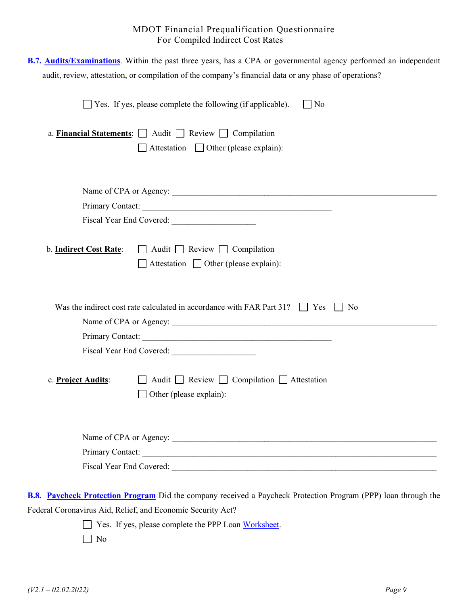| B.7. Audits/Examinations. Within the past three years, has a CPA or governmental agency performed an independent<br>audit, review, attestation, or compilation of the company's financial data or any phase of operations? |
|----------------------------------------------------------------------------------------------------------------------------------------------------------------------------------------------------------------------------|
| Yes. If yes, please complete the following (if applicable).<br>$\overline{N}$                                                                                                                                              |
| a. Financial Statements: $\Box$ Audit $\Box$ Review $\Box$ Compilation<br>$\Box$ Attestation $\Box$ Other (please explain):                                                                                                |
|                                                                                                                                                                                                                            |
| Primary Contact:                                                                                                                                                                                                           |
|                                                                                                                                                                                                                            |
| $\Box$ Audit $\Box$ Review $\Box$ Compilation<br>b. Indirect Cost Rate:<br>$\Box$ Attestation $\Box$ Other (please explain):                                                                                               |
| Was the indirect cost rate calculated in accordance with FAR Part $31?$ $\Box$ Yes<br>  No                                                                                                                                 |
|                                                                                                                                                                                                                            |
|                                                                                                                                                                                                                            |
| $\Box$ Audit $\Box$ Review $\Box$ Compilation $\Box$ Attestation<br>c. Project Audits:<br>$\Box$ Other (please explain):                                                                                                   |
| Name of CPA or Agency:                                                                                                                                                                                                     |
| Primary Contact:                                                                                                                                                                                                           |
|                                                                                                                                                                                                                            |
| B.8. Paycheck Protection Program Did the company received a Paycheck Protection Program (PPP) loan through the<br>Federal Coronavirus Aid, Relief, and Economic Security Act?                                              |
| Yes. If yes, please complete the PPP Loan Worksheet.                                                                                                                                                                       |
| No                                                                                                                                                                                                                         |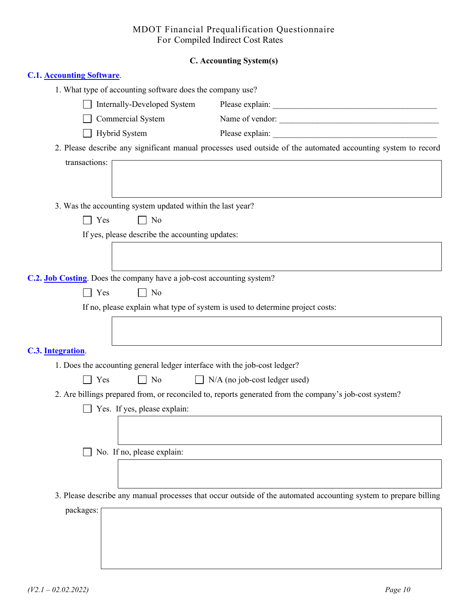# **C. Accounting System(s)**

| <b>C.1. Accounting Software</b>                                               |                                                                                                                  |
|-------------------------------------------------------------------------------|------------------------------------------------------------------------------------------------------------------|
| 1. What type of accounting software does the company use?                     |                                                                                                                  |
| Internally-Developed System                                                   |                                                                                                                  |
| Commercial System                                                             | Name of vendor:                                                                                                  |
| Hybrid System                                                                 |                                                                                                                  |
|                                                                               | 2. Please describe any significant manual processes used outside of the automated accounting system to record    |
| transactions:                                                                 |                                                                                                                  |
|                                                                               |                                                                                                                  |
| 3. Was the accounting system updated within the last year?                    |                                                                                                                  |
| $\top$ Yes<br>$\Box$ No                                                       |                                                                                                                  |
| If yes, please describe the accounting updates:                               |                                                                                                                  |
|                                                                               |                                                                                                                  |
|                                                                               |                                                                                                                  |
| C.2. <b>Job Costing</b> . Does the company have a job-cost accounting system? |                                                                                                                  |
| Yes<br>$\Box$ No                                                              |                                                                                                                  |
| If no, please explain what type of system is used to determine project costs: |                                                                                                                  |
|                                                                               |                                                                                                                  |
| C.3. Integration.                                                             |                                                                                                                  |
| 1. Does the accounting general ledger interface with the job-cost ledger?     |                                                                                                                  |
| Yes<br>$\Box$ No                                                              | $\Box$ N/A (no job-cost ledger used)                                                                             |
|                                                                               | 2. Are billings prepared from, or reconciled to, reports generated from the company's job-cost system?           |
| $\Box$ Yes. If yes, please explain:                                           |                                                                                                                  |
|                                                                               |                                                                                                                  |
|                                                                               |                                                                                                                  |
| No. If no, please explain:                                                    |                                                                                                                  |
|                                                                               |                                                                                                                  |
|                                                                               |                                                                                                                  |
|                                                                               | 3. Please describe any manual processes that occur outside of the automated accounting system to prepare billing |
| packages:                                                                     |                                                                                                                  |
|                                                                               |                                                                                                                  |
|                                                                               |                                                                                                                  |
|                                                                               |                                                                                                                  |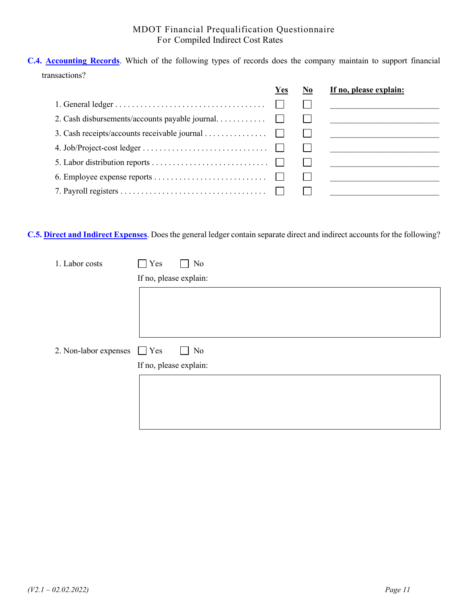**C.4. Accounting Records**. Which of the following types of records does the company maintain to support financial transactions?

|                                                | Yes | If no, please explain: |
|------------------------------------------------|-----|------------------------|
|                                                |     |                        |
| 2. Cash disbursements/accounts payable journal |     |                        |
| 3. Cash receipts/accounts receivable journal   |     |                        |
|                                                |     |                        |
|                                                |     |                        |
|                                                |     |                        |
|                                                |     |                        |
|                                                |     |                        |

**C.5. Direct and Indirect Expenses**. Does the general ledger contain separate direct and indirect accounts for the following?

| 1. Labor costs                   | Yes<br>No              |
|----------------------------------|------------------------|
|                                  | If no, please explain: |
|                                  |                        |
|                                  |                        |
|                                  |                        |
|                                  |                        |
| 2. Non-labor expenses $\Box$ Yes | $\mid$ No<br>$\perp$   |
|                                  | If no, please explain: |
|                                  |                        |
|                                  |                        |
|                                  |                        |
|                                  |                        |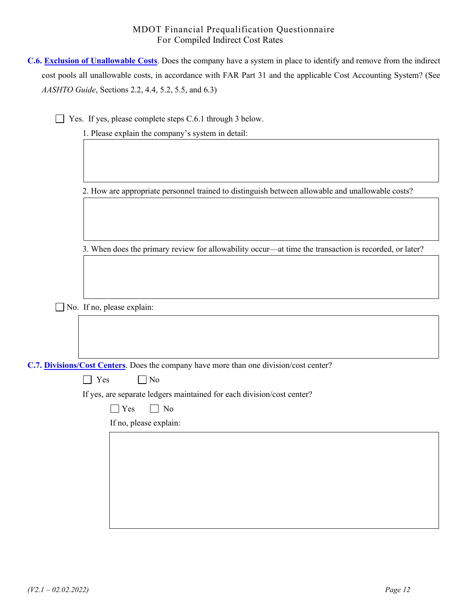| <b>C.6. Exclusion of Unallowable Costs.</b> Does the company have a system in place to identify and remove from the indirect |
|------------------------------------------------------------------------------------------------------------------------------|
| cost pools all unallowable costs, in accordance with FAR Part 31 and the applicable Cost Accounting System? (See             |
| <i>AASHTO Guide</i> , Sections 2.2, 4.4, 5.2, 5.5, and 6.3)                                                                  |

Yes. If yes, please complete steps C.6.1 through 3 below.

1. Please explain the company's system in detail:

2. How are appropriate personnel trained to distinguish between allowable and unallowable costs?

3. When does the primary review for allowability occur—at time the transaction is recorded, or later?

No. If no, please explain:

**C.7. Divisions/Cost Centers**. Does the company have more than one division/cost center?

|  |  | ง∩ |
|--|--|----|
|--|--|----|

If yes, are separate ledgers maintained for each division/cost center?

 $\Box$  Yes  $\Box$  No

If no, please explain: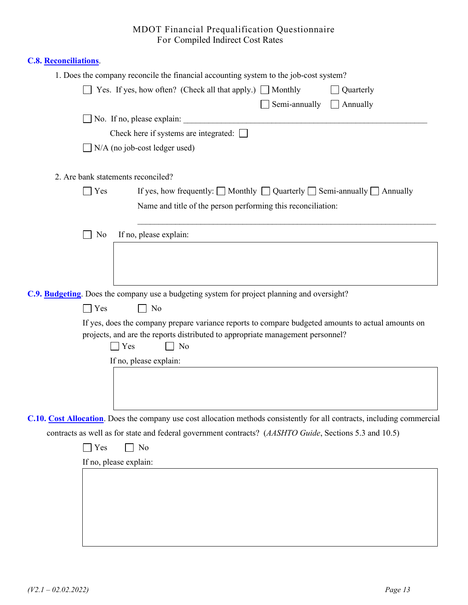# **C.8. Reconciliations**.

|                    | 1. Does the company reconcile the financial accounting system to the job-cost system?                                                                                                                                                                                                                                    |
|--------------------|--------------------------------------------------------------------------------------------------------------------------------------------------------------------------------------------------------------------------------------------------------------------------------------------------------------------------|
|                    | Yes. If yes, how often? (Check all that apply.) $\Box$ Monthly<br>Quarterly                                                                                                                                                                                                                                              |
|                    | Semi-annually<br>Annually<br>$\pm$                                                                                                                                                                                                                                                                                       |
|                    | $\Box$ No. If no, please explain:                                                                                                                                                                                                                                                                                        |
|                    | Check here if systems are integrated: $\Box$                                                                                                                                                                                                                                                                             |
|                    | $\neg N/A$ (no job-cost ledger used)                                                                                                                                                                                                                                                                                     |
|                    | 2. Are bank statements reconciled?                                                                                                                                                                                                                                                                                       |
| Yes                | If yes, how frequently: $\Box$ Monthly $\Box$ Quarterly $\Box$ Semi-annually $\Box$ Annually<br>Name and title of the person performing this reconciliation:                                                                                                                                                             |
| No                 | If no, please explain:                                                                                                                                                                                                                                                                                                   |
| $\blacksquare$ Yes | C.9. Budgeting. Does the company use a budgeting system for project planning and oversight?<br>$\Box$ No<br>If yes, does the company prepare variance reports to compare budgeted amounts to actual amounts on<br>projects, and are the reports distributed to appropriate management personnel?<br>$\mathbf{Yes}$<br>No |
|                    | If no, please explain:                                                                                                                                                                                                                                                                                                   |
|                    |                                                                                                                                                                                                                                                                                                                          |
|                    | C.10. Cost Allocation. Does the company use cost allocation methods consistently for all contracts, including commercial                                                                                                                                                                                                 |
| Yes                | contracts as well as for state and federal government contracts? (AASHTO Guide, Sections 5.3 and 10.5)<br>No                                                                                                                                                                                                             |
|                    |                                                                                                                                                                                                                                                                                                                          |
|                    | If no, please explain:                                                                                                                                                                                                                                                                                                   |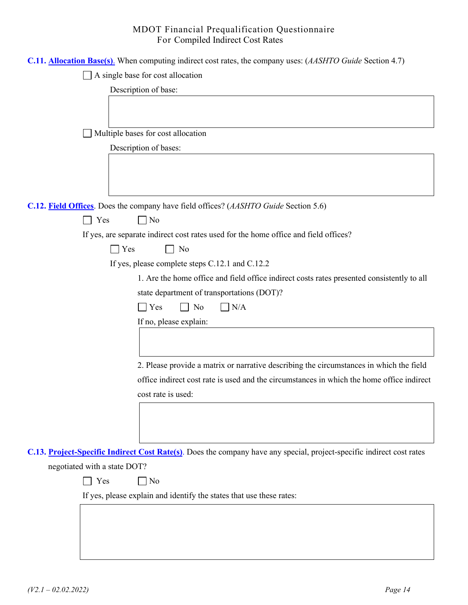|                                                                                      | C.11. <b>Allocation Base(s)</b> . When computing indirect cost rates, the company uses: (AASHTO Guide Section 4.7)    |  |  |  |
|--------------------------------------------------------------------------------------|-----------------------------------------------------------------------------------------------------------------------|--|--|--|
| A single base for cost allocation                                                    |                                                                                                                       |  |  |  |
| Description of base:                                                                 |                                                                                                                       |  |  |  |
|                                                                                      |                                                                                                                       |  |  |  |
|                                                                                      |                                                                                                                       |  |  |  |
| Multiple bases for cost allocation                                                   |                                                                                                                       |  |  |  |
| Description of bases:                                                                |                                                                                                                       |  |  |  |
|                                                                                      |                                                                                                                       |  |  |  |
|                                                                                      |                                                                                                                       |  |  |  |
|                                                                                      |                                                                                                                       |  |  |  |
| C.12. Field Offices. Does the company have field offices? (AASHTO Guide Section 5.6) |                                                                                                                       |  |  |  |
| $\Box$ No<br>Yes<br>$\sim$                                                           |                                                                                                                       |  |  |  |
|                                                                                      | If yes, are separate indirect cost rates used for the home office and field offices?                                  |  |  |  |
| Yes<br>No                                                                            |                                                                                                                       |  |  |  |
| If yes, please complete steps C.12.1 and C.12.2                                      |                                                                                                                       |  |  |  |
|                                                                                      | 1. Are the home office and field office indirect costs rates presented consistently to all                            |  |  |  |
| state department of transportations (DOT)?                                           |                                                                                                                       |  |  |  |
| $\Box$ Yes<br>No                                                                     | $\Box$ N/A                                                                                                            |  |  |  |
| If no, please explain:                                                               |                                                                                                                       |  |  |  |
|                                                                                      |                                                                                                                       |  |  |  |
|                                                                                      |                                                                                                                       |  |  |  |
|                                                                                      | 2. Please provide a matrix or narrative describing the circumstances in which the field                               |  |  |  |
|                                                                                      | office indirect cost rate is used and the circumstances in which the home office indirect                             |  |  |  |
| cost rate is used:                                                                   |                                                                                                                       |  |  |  |
|                                                                                      |                                                                                                                       |  |  |  |
|                                                                                      |                                                                                                                       |  |  |  |
|                                                                                      |                                                                                                                       |  |  |  |
|                                                                                      | C.13. Project-Specific Indirect Cost Rate(s). Does the company have any special, project-specific indirect cost rates |  |  |  |
| negotiated with a state DOT?                                                         |                                                                                                                       |  |  |  |
| Yes<br>No                                                                            |                                                                                                                       |  |  |  |
| If yes, please explain and identify the states that use these rates:                 |                                                                                                                       |  |  |  |
|                                                                                      |                                                                                                                       |  |  |  |
|                                                                                      |                                                                                                                       |  |  |  |
|                                                                                      |                                                                                                                       |  |  |  |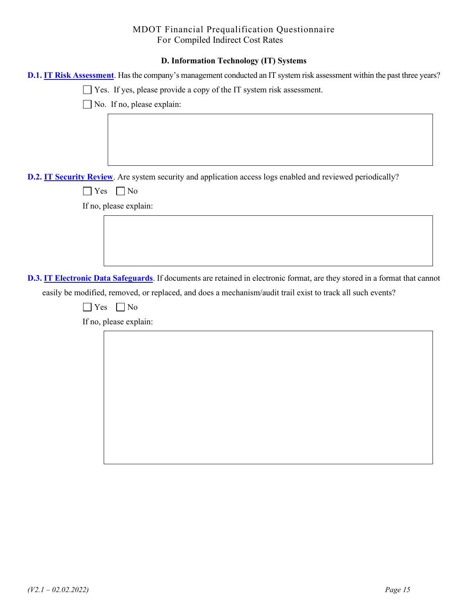# **D. Information Technology (IT) Systems**

| D.1. IT Risk Assessment. Has the company's management conducted an IT system risk assessment within the past three years?   |  |  |  |  |  |
|-----------------------------------------------------------------------------------------------------------------------------|--|--|--|--|--|
| Yes. If yes, please provide a copy of the IT system risk assessment.                                                        |  |  |  |  |  |
| $\Box$ No. If no, please explain:                                                                                           |  |  |  |  |  |
|                                                                                                                             |  |  |  |  |  |
|                                                                                                                             |  |  |  |  |  |
|                                                                                                                             |  |  |  |  |  |
|                                                                                                                             |  |  |  |  |  |
| D.2. IT Security Review. Are system security and application access logs enabled and reviewed periodically?                 |  |  |  |  |  |
| $\bigcap$ Yes<br>$\Box$ No                                                                                                  |  |  |  |  |  |
| If no, please explain:                                                                                                      |  |  |  |  |  |
|                                                                                                                             |  |  |  |  |  |
|                                                                                                                             |  |  |  |  |  |
|                                                                                                                             |  |  |  |  |  |
|                                                                                                                             |  |  |  |  |  |
| D.3. IT Electronic Data Safeguards. If documents are retained in electronic format, are they stored in a format that cannot |  |  |  |  |  |
| easily be modified, removed, or replaced, and does a mechanism/audit trail exist to track all such events?                  |  |  |  |  |  |
| $\Box$ No<br>$\exists$ Yes                                                                                                  |  |  |  |  |  |
| If no, please explain:                                                                                                      |  |  |  |  |  |
|                                                                                                                             |  |  |  |  |  |
|                                                                                                                             |  |  |  |  |  |
|                                                                                                                             |  |  |  |  |  |
|                                                                                                                             |  |  |  |  |  |
|                                                                                                                             |  |  |  |  |  |
|                                                                                                                             |  |  |  |  |  |
|                                                                                                                             |  |  |  |  |  |
|                                                                                                                             |  |  |  |  |  |
|                                                                                                                             |  |  |  |  |  |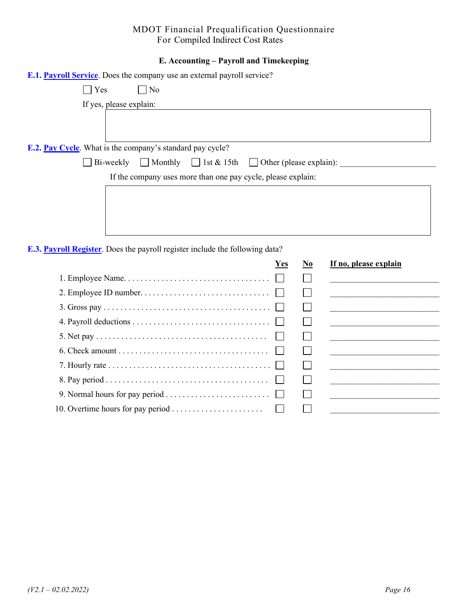# **E. Accounting – Payroll and Timekeeping**

| <b>E.1. Payroll Service.</b> Does the company use an external payroll service?      |  |  |  |  |  |
|-------------------------------------------------------------------------------------|--|--|--|--|--|
| $\bigcap$ Yes<br>$\neg$ No                                                          |  |  |  |  |  |
| If yes, please explain:                                                             |  |  |  |  |  |
|                                                                                     |  |  |  |  |  |
| <b>E.2. Pay Cycle.</b> What is the company's standard pay cycle?                    |  |  |  |  |  |
| Bi-weekly $\Box$ Monthly $\Box$ 1st & 15th $\Box$ Other (please explain):           |  |  |  |  |  |
| If the company uses more than one pay cycle, please explain:                        |  |  |  |  |  |
|                                                                                     |  |  |  |  |  |
|                                                                                     |  |  |  |  |  |
|                                                                                     |  |  |  |  |  |
|                                                                                     |  |  |  |  |  |
| <b>E.3. Payroll Register.</b> Does the payroll register include the following data? |  |  |  |  |  |

|                                                                                                | <b>Yes</b> | No | If no, please explain |
|------------------------------------------------------------------------------------------------|------------|----|-----------------------|
|                                                                                                |            |    |                       |
|                                                                                                |            |    |                       |
|                                                                                                |            |    |                       |
|                                                                                                |            |    |                       |
|                                                                                                |            |    |                       |
|                                                                                                |            |    |                       |
| 7. Hourly rate $\dots \dots \dots \dots \dots \dots \dots \dots \dots \dots \dots \dots \dots$ |            |    |                       |
|                                                                                                |            |    |                       |
|                                                                                                |            |    |                       |
|                                                                                                |            |    |                       |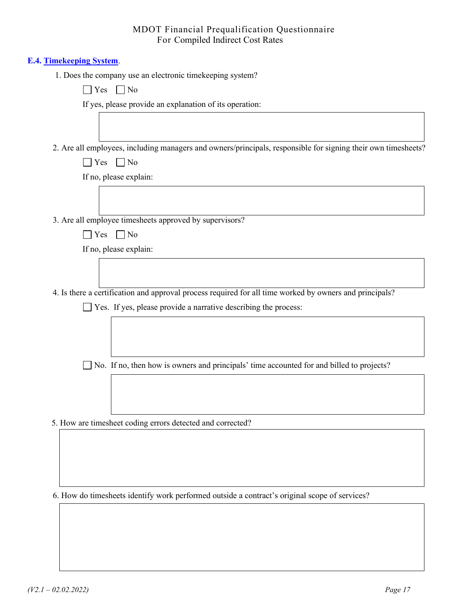#### **E.4. Timekeeping System**.

1. Does the company use an electronic timekeeping system?

|--|--|

If yes, please provide an explanation of its operation:

2. Are all employees, including managers and owners/principals, responsible for signing their own timesheets?

 $\Box$  Yes  $\Box$  No

If no, please explain:

3. Are all employee timesheets approved by supervisors?

If no, please explain:

4. Is there a certification and approval process required for all time worked by owners and principals?

 $\Box$  Yes. If yes, please provide a narrative describing the process:

No. If no, then how is owners and principals' time accounted for and billed to projects?

5. How are timesheet coding errors detected and corrected?

6. How do timesheets identify work performed outside a contract's original scope of services?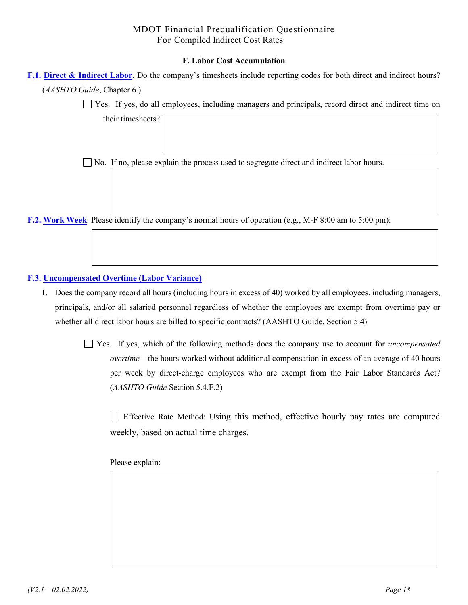#### **F. Labor Cost Accumulation**

| F.1. Direct & Indirect Labor. Do the company's timesheets include reporting codes for both direct and indirect hours? |  |
|-----------------------------------------------------------------------------------------------------------------------|--|
| ( <i>AASHTO Guide</i> , Chapter 6.)                                                                                   |  |

Yes. If yes, do all employees, including managers and principals, record direct and indirect time on

No. If no, please explain the process used to segregate direct and indirect labor hours.

**F.2. Work Week**. Please identify the company's normal hours of operation (e.g., M-F 8:00 am to 5:00 pm):

#### **F.3. Uncompensated Overtime (Labor Variance)**

their timesheets?

1. Does the company record all hours (including hours in excess of 40) worked by all employees, including managers, principals, and/or all salaried personnel regardless of whether the employees are exempt from overtime pay or whether all direct labor hours are billed to specific contracts? (AASHTO Guide, Section 5.4)

> Yes. If yes, which of the following methods does the company use to account for *uncompensated overtime*—the hours worked without additional compensation in excess of an average of 40 hours per week by direct-charge employees who are exempt from the Fair Labor Standards Act? (*AASHTO Guide* Section 5.4.F.2)

 Effective Rate Method: Using this method, effective hourly pay rates are computed weekly, based on actual time charges.

Please explain: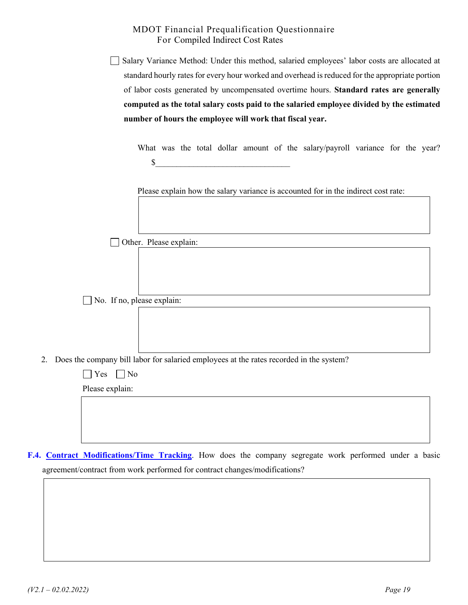Salary Variance Method: Under this method, salaried employees' labor costs are allocated at standard hourly rates for every hour worked and overhead is reduced for the appropriate portion of labor costs generated by uncompensated overtime hours. **Standard rates are generally computed as the total salary costs paid to the salaried employee divided by the estimated number of hours the employee will work that fiscal year.** 

What was the total dollar amount of the salary/payroll variance for the year?  $\mathbb{S}$ 

Please explain how the salary variance is accounted for in the indirect cost rate:

Other. Please explain:

No. If no, please explain:

2. Does the company bill labor for salaried employees at the rates recorded in the system?

| $\Box$ Yes $\Box$ No |  |  |
|----------------------|--|--|
| Please explain:      |  |  |
|                      |  |  |
|                      |  |  |
|                      |  |  |

**F.4. Contract Modifications/Time Tracking**. How does the company segregate work performed under a basic agreement/contract from work performed for contract changes/modifications?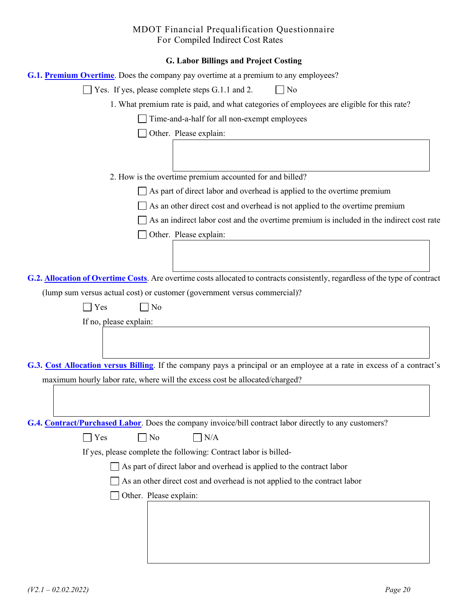| <b>G. Labor Billings and Project Costing</b>                                                                                  |
|-------------------------------------------------------------------------------------------------------------------------------|
| <b>G.1. Premium Overtime.</b> Does the company pay overtime at a premium to any employees?                                    |
| Yes. If yes, please complete steps G.1.1 and 2.<br>  No                                                                       |
| 1. What premium rate is paid, and what categories of employees are eligible for this rate?                                    |
| Time-and-a-half for all non-exempt employees                                                                                  |
| Other. Please explain:                                                                                                        |
|                                                                                                                               |
|                                                                                                                               |
| 2. How is the overtime premium accounted for and billed?                                                                      |
| As part of direct labor and overhead is applied to the overtime premium                                                       |
| As an other direct cost and overhead is not applied to the overtime premium                                                   |
| As an indirect labor cost and the overtime premium is included in the indirect cost rate                                      |
| Other. Please explain:                                                                                                        |
|                                                                                                                               |
|                                                                                                                               |
| G.2. Allocation of Overtime Costs. Are overtime costs allocated to contracts consistently, regardless of the type of contract |
| (lump sum versus actual cost) or customer (government versus commercial)?                                                     |
| Yes<br>No                                                                                                                     |
| If no, please explain:                                                                                                        |
|                                                                                                                               |
|                                                                                                                               |
| G.3. Cost Allocation versus Billing. If the company pays a principal or an employee at a rate in excess of a contract's       |
| maximum hourly labor rate, where will the excess cost be allocated/charged?                                                   |
|                                                                                                                               |
|                                                                                                                               |
| G.4. Contract/Purchased Labor. Does the company invoice/bill contract labor directly to any customers?                        |
| N <sub>o</sub><br>N/A<br>Yes                                                                                                  |
| If yes, please complete the following: Contract labor is billed-                                                              |
|                                                                                                                               |
| As part of direct labor and overhead is applied to the contract labor                                                         |
| As an other direct cost and overhead is not applied to the contract labor                                                     |
| Other. Please explain:                                                                                                        |
|                                                                                                                               |
|                                                                                                                               |
|                                                                                                                               |
|                                                                                                                               |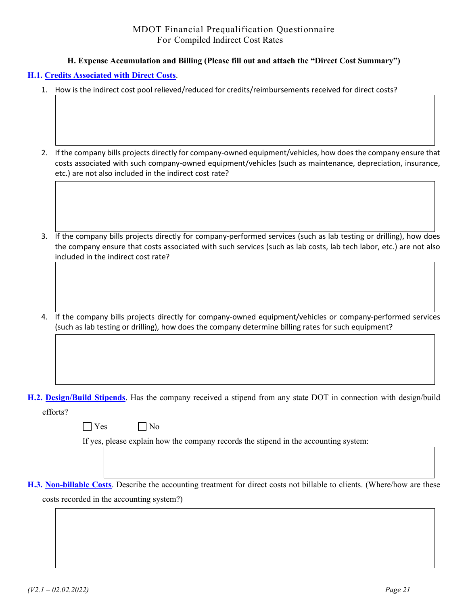#### **H. Expense Accumulation and Billing (Please fill out and attach the "Direct Cost Summary")**

### **H.1. Credits Associated with Direct Costs**.

- 1. How is the indirect cost pool relieved/reduced for credits/reimbursements received for direct costs?
- 2. If the company bills projects directly for company-owned equipment/vehicles, how does the company ensure that costs associated with such company-owned equipment/vehicles (such as maintenance, depreciation, insurance, etc.) are not also included in the indirect cost rate?
- 3. If the company bills projects directly for company-performed services (such as lab testing or drilling), how does the company ensure that costs associated with such services (such as lab costs, lab tech labor, etc.) are not also included in the indirect cost rate?
- 4. If the company bills projects directly for company-owned equipment/vehicles or company-performed services (such as lab testing or drilling), how does the company determine billing rates for such equipment?

**H.2. Design/Build Stipends**. Has the company received a stipend from any state DOT in connection with design/build efforts?

 $\bigcap$  Yes  $\bigcap$  No

If yes, please explain how the company records the stipend in the accounting system:

**H.3. Non-billable Costs**. Describe the accounting treatment for direct costs not billable to clients. (Where/how are these costs recorded in the accounting system?)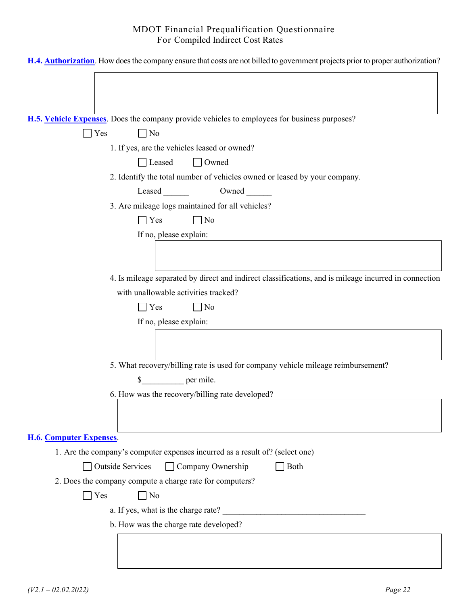| H.4. <b>Authorization</b> . How does the company ensure that costs are not billed to government projects prior to proper authorization? |
|-----------------------------------------------------------------------------------------------------------------------------------------|
|                                                                                                                                         |
|                                                                                                                                         |
|                                                                                                                                         |
| H.5. Vehicle Expenses. Does the company provide vehicles to employees for business purposes?                                            |
| Yes<br>$\Box$ No<br>$\blacksquare$                                                                                                      |
| 1. If yes, are the vehicles leased or owned?                                                                                            |
| $\Box$ Owned<br>Leased                                                                                                                  |
| 2. Identify the total number of vehicles owned or leased by your company.                                                               |
| Owned                                                                                                                                   |
| 3. Are mileage logs maintained for all vehicles?                                                                                        |
| $\Box$ Yes<br>$\Box$ No                                                                                                                 |
| If no, please explain:                                                                                                                  |
|                                                                                                                                         |
| 4. Is mileage separated by direct and indirect classifications, and is mileage incurred in connection                                   |
| with unallowable activities tracked?                                                                                                    |
| $\Box$ No<br><b>Yes</b>                                                                                                                 |
| If no, please explain:                                                                                                                  |
|                                                                                                                                         |
|                                                                                                                                         |
| 5. What recovery/billing rate is used for company vehicle mileage reimbursement?                                                        |
| $\rule{1em}{0.15mm}$ per mile.<br>\$                                                                                                    |
| 6. How was the recovery/billing rate developed?                                                                                         |
|                                                                                                                                         |
|                                                                                                                                         |
| <b>H.6. Computer Expenses.</b>                                                                                                          |
| 1. Are the company's computer expenses incurred as a result of? (select one)                                                            |
| Company Ownership<br><b>Outside Services</b><br>Both                                                                                    |
| 2. Does the company compute a charge rate for computers?                                                                                |
| $\blacksquare$ Yes<br>$\Box$ No                                                                                                         |
| a. If yes, what is the charge rate?                                                                                                     |
| b. How was the charge rate developed?                                                                                                   |
|                                                                                                                                         |
|                                                                                                                                         |
|                                                                                                                                         |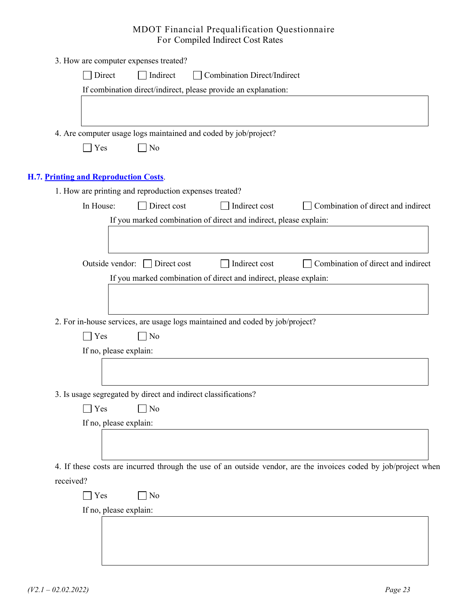|           | 3. How are computer expenses treated?                                                                           |
|-----------|-----------------------------------------------------------------------------------------------------------------|
|           | Direct<br>Indirect<br><b>Combination Direct/Indirect</b>                                                        |
|           | If combination direct/indirect, please provide an explanation:                                                  |
|           |                                                                                                                 |
|           |                                                                                                                 |
|           | 4. Are computer usage logs maintained and coded by job/project?                                                 |
|           | $\neg$ No<br>$\exists$ Yes                                                                                      |
|           |                                                                                                                 |
|           | H.7. Printing and Reproduction Costs.<br>1. How are printing and reproduction expenses treated?                 |
|           | Direct cost<br>Indirect cost<br>Combination of direct and indirect<br>In House:                                 |
|           | If you marked combination of direct and indirect, please explain:                                               |
|           |                                                                                                                 |
|           |                                                                                                                 |
|           | Direct cost<br>Indirect cost<br>Combination of direct and indirect<br>Outside vendor:                           |
|           | If you marked combination of direct and indirect, please explain:                                               |
|           |                                                                                                                 |
|           |                                                                                                                 |
|           | 2. For in-house services, are usage logs maintained and coded by job/project?                                   |
|           | $\bigcap$ Yes<br>$\neg$ No                                                                                      |
|           | If no, please explain:                                                                                          |
|           |                                                                                                                 |
|           |                                                                                                                 |
|           | 3. Is usage segregated by direct and indirect classifications?                                                  |
|           | Yes<br>No                                                                                                       |
|           | If no, please explain:                                                                                          |
|           |                                                                                                                 |
|           |                                                                                                                 |
|           | 4. If these costs are incurred through the use of an outside vendor, are the invoices coded by job/project when |
| received? |                                                                                                                 |
|           | $\exists$ No<br>$\vert$ Yes                                                                                     |
|           | If no, please explain:                                                                                          |
|           |                                                                                                                 |
|           |                                                                                                                 |
|           |                                                                                                                 |
|           |                                                                                                                 |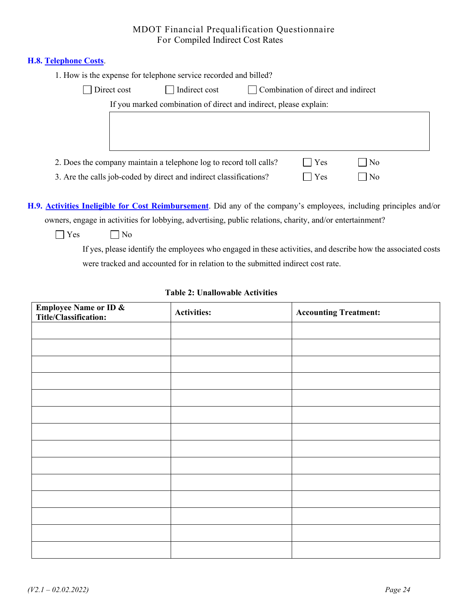#### **H.8. Telephone Costs**.

| 1. How is the expense for telephone service recorded and billed? |  |
|------------------------------------------------------------------|--|
|------------------------------------------------------------------|--|

| Direct cost | Indirect cost                                                      | Combination of direct and indirect |                |  |
|-------------|--------------------------------------------------------------------|------------------------------------|----------------|--|
|             | If you marked combination of direct and indirect, please explain:  |                                    |                |  |
|             |                                                                    |                                    |                |  |
|             |                                                                    |                                    |                |  |
|             |                                                                    |                                    |                |  |
|             | 2. Does the company maintain a telephone log to record toll calls? | l Yes                              | No             |  |
|             | 3. Are the calls job-coded by direct and indirect classifications? | Yes                                | N <sub>o</sub> |  |

**H.9. Activities Ineligible for Cost Reimbursement**. Did any of the company's employees, including principles and/or owners, engage in activities for lobbying, advertising, public relations, charity, and/or entertainment?

 $\Box$  Yes  $\Box$  No

If yes, please identify the employees who engaged in these activities, and describe how the associated costs were tracked and accounted for in relation to the submitted indirect cost rate.

#### **Table 2: Unallowable Activities**

| <b>Employee Name or ID &amp;<br/>Title/Classification:</b> | <b>Activities:</b> | <b>Accounting Treatment:</b> |
|------------------------------------------------------------|--------------------|------------------------------|
|                                                            |                    |                              |
|                                                            |                    |                              |
|                                                            |                    |                              |
|                                                            |                    |                              |
|                                                            |                    |                              |
|                                                            |                    |                              |
|                                                            |                    |                              |
|                                                            |                    |                              |
|                                                            |                    |                              |
|                                                            |                    |                              |
|                                                            |                    |                              |
|                                                            |                    |                              |
|                                                            |                    |                              |
|                                                            |                    |                              |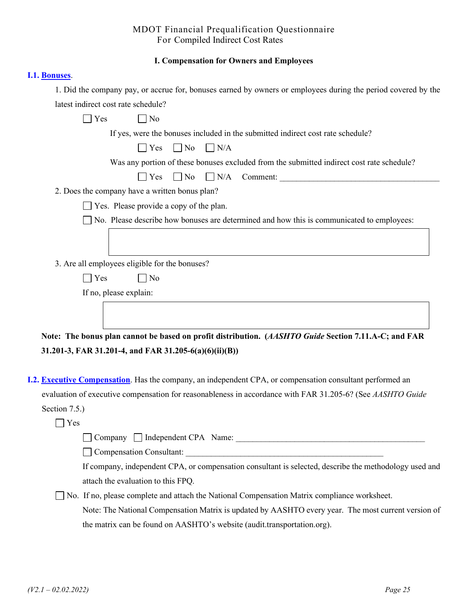#### **I. Compensation for Owners and Employees**

#### **I.1. Bonuses**.

1. Did the company pay, or accrue for, bonuses earned by owners or employees during the period covered by the latest indirect cost rate schedule?

| Yes<br>No                                                                                            |
|------------------------------------------------------------------------------------------------------|
| If yes, were the bonuses included in the submitted indirect cost rate schedule?                      |
| $\Box$ Yes<br>$\Box$ No<br>$\Box$ N/A                                                                |
| Was any portion of these bonuses excluded from the submitted indirect cost rate schedule?            |
| $\Box$ No $\Box$ N/A<br>$  \   \ \gamma_{\rm es}$<br>Comment:                                        |
| 2. Does the company have a written bonus plan?                                                       |
| $\Box$ Yes. Please provide a copy of the plan.                                                       |
| $\Box$ No. Please describe how bonuses are determined and how this is communicated to employees:     |
|                                                                                                      |
| 3. Are all employees eligible for the bonuses?                                                       |
| $\Box$ No<br>Yes                                                                                     |
| If no, please explain:                                                                               |
|                                                                                                      |
| Note: The bonus plan cannot be based on profit distribution. (AASHTO Guide Section 7.11.A-C; and FAR |
| 31.201-3, FAR 31.201-4, and FAR 31.205-6(a)(6)(ii)(B))                                               |

**I.2. Executive Compensation**. Has the company, an independent CPA, or compensation consultant performed an evaluation of executive compensation for reasonableness in accordance with FAR 31.205-6? (See *AASHTO Guide* Section 7.5.)

 $\Box$  Yes

Company Independent CPA Name: \_\_\_\_\_\_\_\_\_\_\_\_\_\_\_\_\_\_\_\_\_\_\_\_\_\_\_\_\_\_\_\_\_\_\_\_\_\_\_\_\_\_\_\_\_

Compensation Consultant:

If company, independent CPA, or compensation consultant is selected, describe the methodology used and attach the evaluation to this FPQ.

 No. If no, please complete and attach the National Compensation Matrix compliance worksheet. Note: The National Compensation Matrix is updated by AASHTO every year. The most current version of the matrix can be found on AASHTO's website (audit.transportation.org).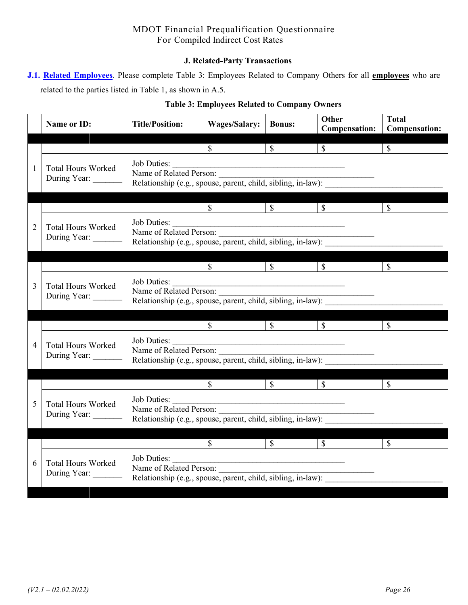#### **J. Related-Party Transactions**

**J.1. Related Employees**. Please complete Table 3: Employees Related to Company Others for all **employees** who are related to the parties listed in Table 1, as shown in A.5.

| Name or ID:                               | <b>Title/Position:</b>                                                                                 | <b>Wages/Salary:</b>                                                                                                 | <b>Bonus:</b>            | <b>Other</b><br><b>Compensation:</b>            | <b>Total</b><br><b>Compensation:</b> |  |
|-------------------------------------------|--------------------------------------------------------------------------------------------------------|----------------------------------------------------------------------------------------------------------------------|--------------------------|-------------------------------------------------|--------------------------------------|--|
|                                           |                                                                                                        | $\overline{\mathcal{S}}$                                                                                             | $\overline{\mathcal{S}}$ | $\overline{\textbf{S}}$ $\overline{\textbf{S}}$ | $\overline{\mathbb{S}}$              |  |
| <b>Total Hours Worked</b><br>During Year: | Job Duties:<br>Name of Related Person:                                                                 |                                                                                                                      |                          |                                                 |                                      |  |
|                                           |                                                                                                        | $\overline{\mathcal{S}}$                                                                                             | $\overline{\mathcal{S}}$ | $\mathbb{S}$                                    | $\mathbb{S}$                         |  |
| <b>Total Hours Worked</b><br>During Year: | Job Duties:<br>Name of Related Person:<br>Relationship (e.g., spouse, parent, child, sibling, in-law): | <u> 1989 - Jan James James James James James James James James James James James James James James James James J</u> |                          |                                                 |                                      |  |
|                                           |                                                                                                        | $\overline{\mathcal{S}}$                                                                                             | $\overline{\text{S}}$    | $\mathbb{S}$                                    | $\mathbb{S}$                         |  |
| <b>Total Hours Worked</b><br>During Year: | Job Duties:<br>Name of Related Person:<br>Relationship (e.g., spouse, parent, child, sibling, in-law): |                                                                                                                      |                          |                                                 |                                      |  |
|                                           |                                                                                                        | $\mathbb{S}$                                                                                                         | $\overline{\mathbf{s}}$  | $\mathbb{S}$                                    | $\mathcal{S}$                        |  |
| <b>Total Hours Worked</b><br>During Year: | Job Duties:<br>Name of Related Person:<br>Relationship (e.g., spouse, parent, child, sibling, in-law): |                                                                                                                      |                          |                                                 |                                      |  |
|                                           |                                                                                                        | $\mathbb{S}$                                                                                                         | $\mathbb{S}$             | $\mathbb{S}$                                    | $\mathbb{S}$                         |  |
| <b>Total Hours Worked</b><br>During Year: | Job Duties:<br>Name of Related Person:<br>Relationship (e.g., spouse, parent, child, sibling, in-law): |                                                                                                                      |                          |                                                 |                                      |  |
|                                           |                                                                                                        | $\overline{\mathbb{S}}$                                                                                              | $\sqrt{\frac{1}{2}}$     | $\overline{\mathcal{S}}$                        | $\mathbb{S}$                         |  |
| <b>Total Hours Worked</b><br>During Year: | Job Duties:<br>Name of Related Person:<br>Relationship (e.g., spouse, parent, child, sibling, in-law): |                                                                                                                      |                          |                                                 |                                      |  |

# **Table 3: Employees Related to Company Owners**

1

2

3

4

5

6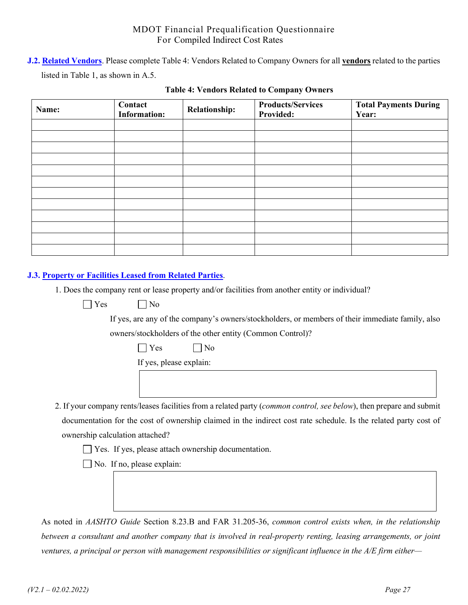**J.2. Related Vendors**. Please complete Table 4: Vendors Related to Company Owners for all **vendors** related to the parties listed in Table 1, as shown in A.5.

| Name: | Contact<br><b>Information:</b> | <b>Relationship:</b> | <b>Products/Services</b><br><b>Provided:</b> | <b>Total Payments During</b><br>Year: |
|-------|--------------------------------|----------------------|----------------------------------------------|---------------------------------------|
|       |                                |                      |                                              |                                       |
|       |                                |                      |                                              |                                       |
|       |                                |                      |                                              |                                       |
|       |                                |                      |                                              |                                       |
|       |                                |                      |                                              |                                       |
|       |                                |                      |                                              |                                       |
|       |                                |                      |                                              |                                       |
|       |                                |                      |                                              |                                       |
|       |                                |                      |                                              |                                       |
|       |                                |                      |                                              |                                       |
|       |                                |                      |                                              |                                       |
|       |                                |                      |                                              |                                       |

#### **Table 4: Vendors Related to Company Owners**

## **J.3. Property or Facilities Leased from Related Parties**.

1. Does the company rent or lease property and/or facilities from another entity or individual?

 $\bigcap$  Yes  $\bigcap$  No

If yes, are any of the company's owners/stockholders, or members of their immediate family, also

owners/stockholders of the other entity (Common Control)?

| __ | ١ |
|----|---|
|----|---|

If yes, please explain:

2. If your company rents/leases facilities from a related party (*common control, see below*), then prepare and submit documentation for the cost of ownership claimed in the indirect cost rate schedule. Is the related party cost of ownership calculation attached?

Yes. If yes, please attach ownership documentation.

No. If no, please explain:

As noted in *AASHTO Guide* Section 8.23.B and FAR 31.205-36, *common control exists when, in the relationship between a consultant and another company that is involved in real-property renting, leasing arrangements, or joint ventures, a principal or person with management responsibilities or significant influence in the A/E firm either—*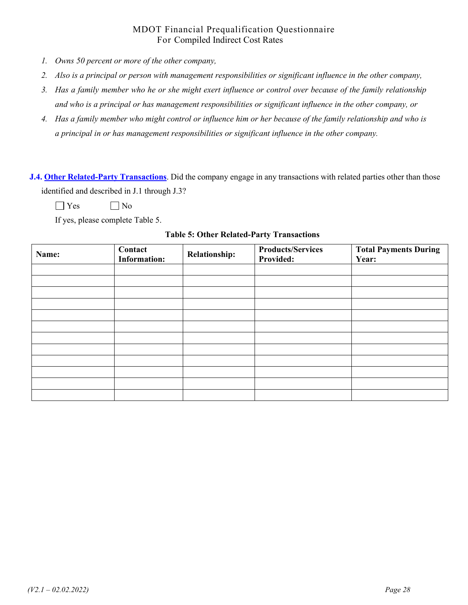- *1. Owns 50 percent or more of the other company,*
- *2. Also is a principal or person with management responsibilities or significant influence in the other company,*
- *3. Has a family member who he or she might exert influence or control over because of the family relationship and who is a principal or has management responsibilities or significant influence in the other company, or*
- *4. Has a family member who might control or influence him or her because of the family relationship and who is a principal in or has management responsibilities or significant influence in the other company.*

**J.4. Other Related-Party Transactions**. Did the company engage in any transactions with related parties other than those identified and described in J.1 through J.3?

 $\Box$  Yes  $\Box$  No

If yes, please complete Table 5.

| Name: | Contact<br><b>Information:</b> | <b>Relationship:</b> | <b>Products/Services</b><br><b>Provided:</b> | <b>Total Payments During</b><br>Year: |
|-------|--------------------------------|----------------------|----------------------------------------------|---------------------------------------|
|       |                                |                      |                                              |                                       |
|       |                                |                      |                                              |                                       |
|       |                                |                      |                                              |                                       |
|       |                                |                      |                                              |                                       |
|       |                                |                      |                                              |                                       |
|       |                                |                      |                                              |                                       |
|       |                                |                      |                                              |                                       |
|       |                                |                      |                                              |                                       |
|       |                                |                      |                                              |                                       |
|       |                                |                      |                                              |                                       |
|       |                                |                      |                                              |                                       |
|       |                                |                      |                                              |                                       |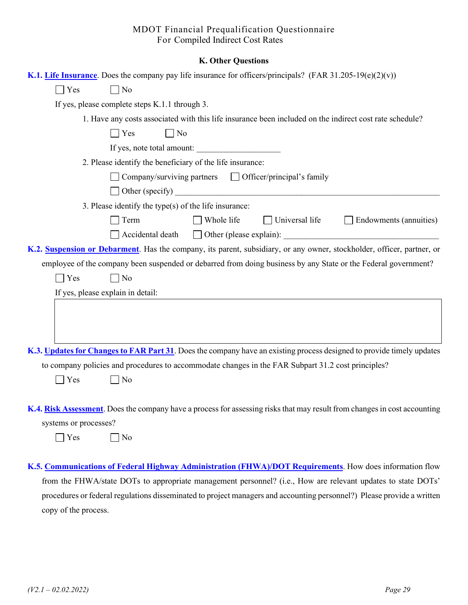#### **K. Other Questions**

|                       | K.1. Life Insurance. Does the company pay life insurance for officers/principals? (FAR 31.205-19(e)(2)(v))                |
|-----------------------|---------------------------------------------------------------------------------------------------------------------------|
| $\Box$ Yes            | N <sub>o</sub>                                                                                                            |
|                       | If yes, please complete steps K.1.1 through 3.                                                                            |
|                       | 1. Have any costs associated with this life insurance been included on the indirect cost rate schedule?                   |
|                       | $\Box$ No<br>$\Box$ Yes                                                                                                   |
|                       | If yes, note total amount:                                                                                                |
|                       | 2. Please identify the beneficiary of the life insurance:                                                                 |
|                       |                                                                                                                           |
|                       |                                                                                                                           |
|                       | 3. Please identify the type(s) of the life insurance:                                                                     |
|                       | $\Box$ Whole life<br>$\Box$ Universal life<br>$\Box$ Endowments (annuities)<br>$\Box$ Term                                |
|                       | $\Box$ Accidental death                                                                                                   |
|                       | K.2. Suspension or Debarment. Has the company, its parent, subsidiary, or any owner, stockholder, officer, partner, or    |
|                       | employee of the company been suspended or debarred from doing business by any State or the Federal government?            |
| $\Box$ Yes            | No                                                                                                                        |
|                       | If yes, please explain in detail:                                                                                         |
|                       |                                                                                                                           |
|                       |                                                                                                                           |
|                       |                                                                                                                           |
|                       | K.3. Updates for Changes to FAR Part 31. Does the company have an existing process designed to provide timely updates     |
|                       | to company policies and procedures to accommodate changes in the FAR Subpart 31.2 cost principles?                        |
| $\blacksquare$ Yes    | No                                                                                                                        |
|                       |                                                                                                                           |
|                       | K.4. Risk Assessment. Does the company have a process for assessing risks that may result from changes in cost accounting |
| systems or processes? |                                                                                                                           |
| Yes                   | No                                                                                                                        |
|                       |                                                                                                                           |

**K.5. Communications of Federal Highway Administration (FHWA)/DOT Requirements**. How does information flow from the FHWA/state DOTs to appropriate management personnel? (i.e., How are relevant updates to state DOTs' procedures or federal regulations disseminated to project managers and accounting personnel?) Please provide a written copy of the process.